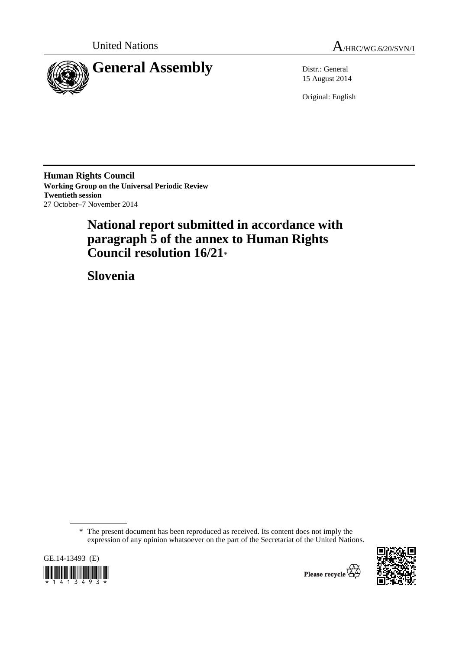



15 August 2014

Original: English

**Human Rights Council Working Group on the Universal Periodic Review Twentieth session**  27 October–7 November 2014

# **National report submitted in accordance with paragraph 5 of the annex to Human Rights Council resolution 16/21**\*

 **Slovenia** 

GE.14-13493 (E) \*1413493\*



 <sup>\*</sup> The present document has been reproduced as received. Its content does not imply the expression of any opinion whatsoever on the part of the Secretariat of the United Nations.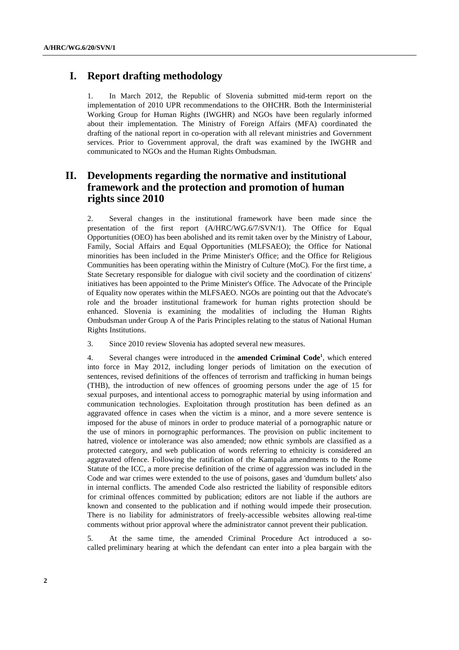# **I. Report drafting methodology**

1. In March 2012, the Republic of Slovenia submitted mid-term report on the implementation of 2010 UPR recommendations to the OHCHR. Both the Interministerial Working Group for Human Rights (IWGHR) and NGOs have been regularly informed about their implementation. The Ministry of Foreign Affairs (MFA) coordinated the drafting of the national report in co-operation with all relevant ministries and Government services. Prior to Government approval, the draft was examined by the IWGHR and communicated to NGOs and the Human Rights Ombudsman.

# **II. Developments regarding the normative and institutional framework and the protection and promotion of human rights since 2010**

2. Several changes in the institutional framework have been made since the presentation of the first report (A/HRC/WG.6/7/SVN/1). The Office for Equal Opportunities (OEO) has been abolished and its remit taken over by the Ministry of Labour, Family, Social Affairs and Equal Opportunities (MLFSAEO); the Office for National minorities has been included in the Prime Minister's Office; and the Office for Religious Communities has been operating within the Ministry of Culture (MoC). For the first time, a State Secretary responsible for dialogue with civil society and the coordination of citizens' initiatives has been appointed to the Prime Minister's Office. The Advocate of the Principle of Equality now operates within the MLFSAEO. NGOs are pointing out that the Advocate's role and the broader institutional framework for human rights protection should be enhanced. Slovenia is examining the modalities of including the Human Rights Ombudsman under Group A of the Paris Principles relating to the status of National Human Rights Institutions.

3. Since 2010 review Slovenia has adopted several new measures.

4. Several changes were introduced in the **amended Criminal Code1** , which entered into force in May 2012, including longer periods of limitation on the execution of sentences, revised definitions of the offences of terrorism and trafficking in human beings (THB), the introduction of new offences of grooming persons under the age of 15 for sexual purposes, and intentional access to pornographic material by using information and communication technologies. Exploitation through prostitution has been defined as an aggravated offence in cases when the victim is a minor, and a more severe sentence is imposed for the abuse of minors in order to produce material of a pornographic nature or the use of minors in pornographic performances. The provision on public incitement to hatred, violence or intolerance was also amended; now ethnic symbols are classified as a protected category, and web publication of words referring to ethnicity is considered an aggravated offence. Following the ratification of the Kampala amendments to the Rome Statute of the ICC, a more precise definition of the crime of aggression was included in the Code and war crimes were extended to the use of poisons, gases and 'dumdum bullets' also in internal conflicts. The amended Code also restricted the liability of responsible editors for criminal offences committed by publication; editors are not liable if the authors are known and consented to the publication and if nothing would impede their prosecution. There is no liability for administrators of freely-accessible websites allowing real-time comments without prior approval where the administrator cannot prevent their publication.

5. At the same time, the amended Criminal Procedure Act introduced a socalled preliminary hearing at which the defendant can enter into a plea bargain with the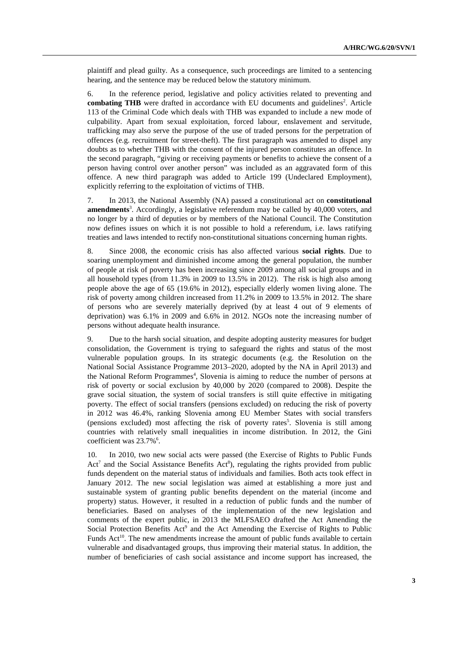plaintiff and plead guilty. As a consequence, such proceedings are limited to a sentencing hearing, and the sentence may be reduced below the statutory minimum.

6. In the reference period, legislative and policy activities related to preventing and combating THB were drafted in accordance with EU documents and guidelines<sup>2</sup>. Article 113 of the Criminal Code which deals with THB was expanded to include a new mode of culpability. Apart from sexual exploitation, forced labour, enslavement and servitude, trafficking may also serve the purpose of the use of traded persons for the perpetration of offences (e.g. recruitment for street-theft). The first paragraph was amended to dispel any doubts as to whether THB with the consent of the injured person constitutes an offence. In the second paragraph, "giving or receiving payments or benefits to achieve the consent of a person having control over another person" was included as an aggravated form of this offence. A new third paragraph was added to Article 199 (Undeclared Employment), explicitly referring to the exploitation of victims of THB.

7. In 2013, the National Assembly (NA) passed a constitutional act on **constitutional**  amendments<sup>3</sup>. Accordingly, a legislative referendum may be called by 40,000 voters, and no longer by a third of deputies or by members of the National Council. The Constitution now defines issues on which it is not possible to hold a referendum, i.e. laws ratifying treaties and laws intended to rectify non-constitutional situations concerning human rights.

8. Since 2008, the economic crisis has also affected various **social rights**. Due to soaring unemployment and diminished income among the general population, the number of people at risk of poverty has been increasing since 2009 among all social groups and in all household types (from 11.3% in 2009 to 13.5% in 2012). The risk is high also among people above the age of 65 (19.6% in 2012), especially elderly women living alone. The risk of poverty among children increased from 11.2% in 2009 to 13.5% in 2012. The share of persons who are severely materially deprived (by at least 4 out of 9 elements of deprivation) was 6.1% in 2009 and 6.6% in 2012. NGOs note the increasing number of persons without adequate health insurance.

9. Due to the harsh social situation, and despite adopting austerity measures for budget consolidation, the Government is trying to safeguard the rights and status of the most vulnerable population groups. In its strategic documents (e.g. the Resolution on the National Social Assistance Programme 2013–2020, adopted by the NA in April 2013) and the National Reform Programmes<sup>4</sup>, Slovenia is aiming to reduce the number of persons at risk of poverty or social exclusion by 40,000 by 2020 (compared to 2008). Despite the grave social situation, the system of social transfers is still quite effective in mitigating poverty. The effect of social transfers (pensions excluded) on reducing the risk of poverty in 2012 was 46.4%, ranking Slovenia among EU Member States with social transfers (pensions excluded) most affecting the risk of poverty rates<sup>5</sup>. Slovenia is still among countries with relatively small inequalities in income distribution. In 2012, the Gini coefficient was  $23.7\%$ <sup>6</sup>.

10. In 2010, two new social acts were passed (the Exercise of Rights to Public Funds Act<sup>7</sup> and the Social Assistance Benefits Act<sup>8</sup>), regulating the rights provided from public funds dependent on the material status of individuals and families. Both acts took effect in January 2012. The new social legislation was aimed at establishing a more just and sustainable system of granting public benefits dependent on the material (income and property) status. However, it resulted in a reduction of public funds and the number of beneficiaries. Based on analyses of the implementation of the new legislation and comments of the expert public, in 2013 the MLFSAEO drafted the Act Amending the Social Protection Benefits Act<sup>9</sup> and the Act Amending the Exercise of Rights to Public Funds  $Act^{10}$ . The new amendments increase the amount of public funds available to certain vulnerable and disadvantaged groups, thus improving their material status. In addition, the number of beneficiaries of cash social assistance and income support has increased, the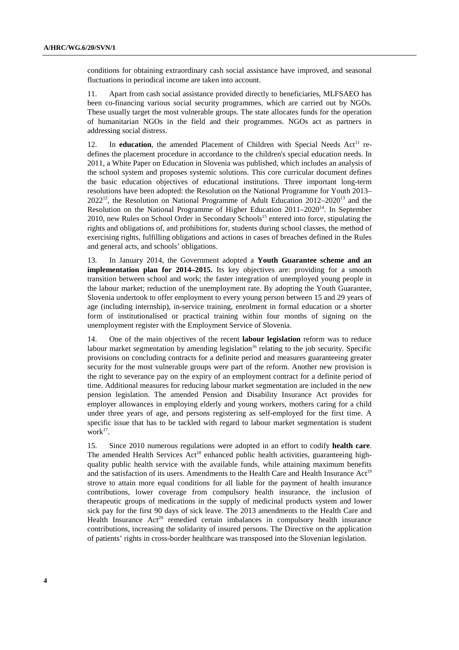conditions for obtaining extraordinary cash social assistance have improved, and seasonal fluctuations in periodical income are taken into account.

11. Apart from cash social assistance provided directly to beneficiaries, MLFSAEO has been co-financing various social security programmes, which are carried out by NGOs. These usually target the most vulnerable groups. The state allocates funds for the operation of humanitarian NGOs in the field and their programmes. NGOs act as partners in addressing social distress.

12. In **education**, the amended Placement of Children with Special Needs Act<sup>11</sup> redefines the placement procedure in accordance to the children's special education needs. In 2011, a White Paper on Education in Slovenia was published, which includes an analysis of the school system and proposes systemic solutions. This core curricular document defines the basic education objectives of educational institutions. Three important long-term resolutions have been adopted: the Resolution on the National Programme for Youth 2013–  $2022^{12}$ , the Resolution on National Programme of Adult Education  $2012-2020^{13}$  and the Resolution on the National Programme of Higher Education 2011–202014. In September 2010, new Rules on School Order in Secondary Schools<sup>15</sup> entered into force, stipulating the rights and obligations of, and prohibitions for, students during school classes, the method of exercising rights, fulfilling obligations and actions in cases of breaches defined in the Rules and general acts, and schools' obligations.

13. In January 2014, the Government adopted a **Youth Guarantee scheme and an implementation plan for 2014–2015.** Its key objectives are: providing for a smooth transition between school and work; the faster integration of unemployed young people in the labour market; reduction of the unemployment rate. By adopting the Youth Guarantee, Slovenia undertook to offer employment to every young person between 15 and 29 years of age (including internship), in-service training, enrolment in formal education or a shorter form of institutionalised or practical training within four months of signing on the unemployment register with the Employment Service of Slovenia.

14. One of the main objectives of the recent **labour legislation** reform was to reduce labour market segmentation by amending legislation<sup>16</sup> relating to the job security. Specific provisions on concluding contracts for a definite period and measures guaranteeing greater security for the most vulnerable groups were part of the reform. Another new provision is the right to severance pay on the expiry of an employment contract for a definite period of time. Additional measures for reducing labour market segmentation are included in the new pension legislation. The amended Pension and Disability Insurance Act provides for employer allowances in employing elderly and young workers, mothers caring for a child under three years of age, and persons registering as self-employed for the first time. A specific issue that has to be tackled with regard to labour market segmentation is student work $17$ .

15. Since 2010 numerous regulations were adopted in an effort to codify **health care**. The amended Health Services  $Act^{18}$  enhanced public health activities, guaranteeing highquality public health service with the available funds, while attaining maximum benefits and the satisfaction of its users. Amendments to the Health Care and Health Insurance  $Act<sup>19</sup>$ strove to attain more equal conditions for all liable for the payment of health insurance contributions, lower coverage from compulsory health insurance, the inclusion of therapeutic groups of medications in the supply of medicinal products system and lower sick pay for the first 90 days of sick leave. The 2013 amendments to the Health Care and Health Insurance  $Act^{20}$  remedied certain imbalances in compulsory health insurance contributions, increasing the solidarity of insured persons. The Directive on the application of patients' rights in cross-border healthcare was transposed into the Slovenian legislation.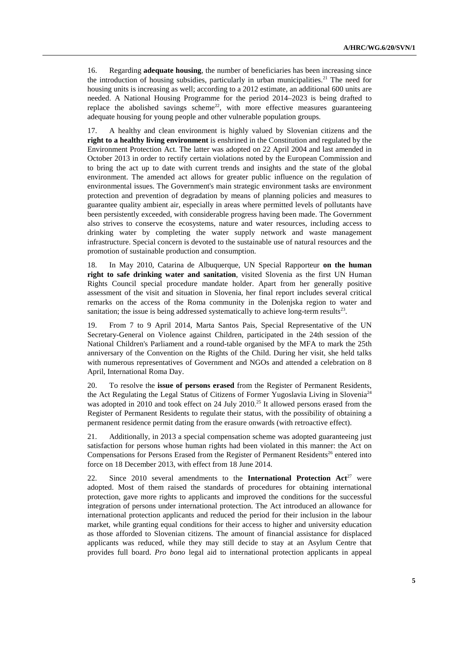16. Regarding **adequate housing**, the number of beneficiaries has been increasing since the introduction of housing subsidies, particularly in urban municipalities.<sup>21</sup> The need for housing units is increasing as well; according to a 2012 estimate, an additional 600 units are needed. A National Housing Programme for the period 2014–2023 is being drafted to replace the abolished savings scheme<sup>22</sup>, with more effective measures guaranteeing adequate housing for young people and other vulnerable population groups.

17. A healthy and clean environment is highly valued by Slovenian citizens and the **right to a healthy living environment** is enshrined in the Constitution and regulated by the Environment Protection Act. The latter was adopted on 22 April 2004 and last amended in October 2013 in order to rectify certain violations noted by the European Commission and to bring the act up to date with current trends and insights and the state of the global environment. The amended act allows for greater public influence on the regulation of environmental issues. The Government's main strategic environment tasks are environment protection and prevention of degradation by means of planning policies and measures to guarantee quality ambient air, especially in areas where permitted levels of pollutants have been persistently exceeded, with considerable progress having been made. The Government also strives to conserve the ecosystems, nature and water resources, including access to drinking water by completing the water supply network and waste management infrastructure. Special concern is devoted to the sustainable use of natural resources and the promotion of sustainable production and consumption.

18. In May 2010, Catarina de Albuquerque, UN Special Rapporteur **on the human right to safe drinking water and sanitation**, visited Slovenia as the first UN Human Rights Council special procedure mandate holder. Apart from her generally positive assessment of the visit and situation in Slovenia, her final report includes several critical remarks on the access of the Roma community in the Dolenjska region to water and sanitation; the issue is being addressed systematically to achieve long-term results $^{23}$ .

19. From 7 to 9 April 2014, Marta Santos Pais, Special Representative of the UN Secretary-General on Violence against Children, participated in the 24th session of the National Children's Parliament and a round-table organised by the MFA to mark the 25th anniversary of the Convention on the Rights of the Child. During her visit, she held talks with numerous representatives of Government and NGOs and attended a celebration on 8 April, International Roma Day.

20. To resolve the **issue of persons erased** from the Register of Permanent Residents, the Act Regulating the Legal Status of Citizens of Former Yugoslavia Living in Slovenia<sup>24</sup> was adopted in 2010 and took effect on 24 July 2010.<sup>25</sup> It allowed persons erased from the Register of Permanent Residents to regulate their status, with the possibility of obtaining a permanent residence permit dating from the erasure onwards (with retroactive effect).

21. Additionally, in 2013 a special compensation scheme was adopted guaranteeing just satisfaction for persons whose human rights had been violated in this manner: the Act on Compensations for Persons Erased from the Register of Permanent Residents<sup>26</sup> entered into force on 18 December 2013, with effect from 18 June 2014.

22. Since 2010 several amendments to the **International Protection Act**<sup>27</sup> were adopted. Most of them raised the standards of procedures for obtaining international protection, gave more rights to applicants and improved the conditions for the successful integration of persons under international protection. The Act introduced an allowance for international protection applicants and reduced the period for their inclusion in the labour market, while granting equal conditions for their access to higher and university education as those afforded to Slovenian citizens. The amount of financial assistance for displaced applicants was reduced, while they may still decide to stay at an Asylum Centre that provides full board. *Pro bono* legal aid to international protection applicants in appeal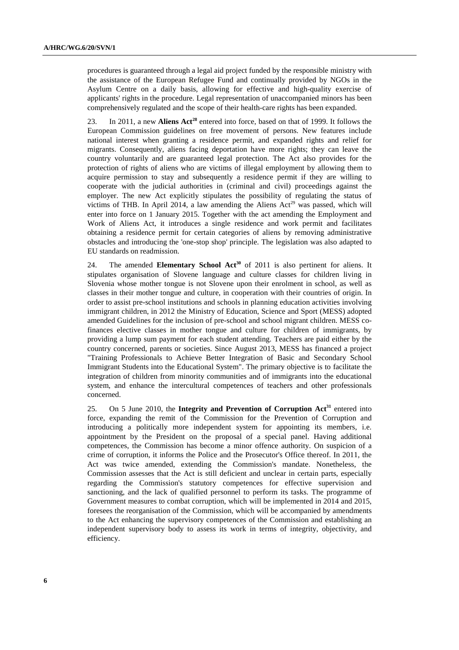procedures is guaranteed through a legal aid project funded by the responsible ministry with the assistance of the European Refugee Fund and continually provided by NGOs in the Asylum Centre on a daily basis, allowing for effective and high-quality exercise of applicants' rights in the procedure. Legal representation of unaccompanied minors has been comprehensively regulated and the scope of their health-care rights has been expanded.

23. In 2011, a new **Aliens Act<sup>28</sup>** entered into force, based on that of 1999. It follows the European Commission guidelines on free movement of persons. New features include national interest when granting a residence permit, and expanded rights and relief for migrants. Consequently, aliens facing deportation have more rights; they can leave the country voluntarily and are guaranteed legal protection. The Act also provides for the protection of rights of aliens who are victims of illegal employment by allowing them to acquire permission to stay and subsequently a residence permit if they are willing to cooperate with the judicial authorities in (criminal and civil) proceedings against the employer. The new Act explicitly stipulates the possibility of regulating the status of victims of THB. In April 2014, a law amending the Aliens Act<sup>29</sup> was passed, which will enter into force on 1 January 2015. Together with the act amending the Employment and Work of Aliens Act, it introduces a single residence and work permit and facilitates obtaining a residence permit for certain categories of aliens by removing administrative obstacles and introducing the 'one-stop shop' principle. The legislation was also adapted to EU standards on readmission.

24. The amended **Elementary School Act<sup>30</sup>** of 2011 is also pertinent for aliens. It stipulates organisation of Slovene language and culture classes for children living in Slovenia whose mother tongue is not Slovene upon their enrolment in school, as well as classes in their mother tongue and culture, in cooperation with their countries of origin. In order to assist pre-school institutions and schools in planning education activities involving immigrant children, in 2012 the Ministry of Education, Science and Sport (MESS) adopted amended Guidelines for the inclusion of pre-school and school migrant children. MESS cofinances elective classes in mother tongue and culture for children of immigrants, by providing a lump sum payment for each student attending. Teachers are paid either by the country concerned, parents or societies. Since August 2013, MESS has financed a project "Training Professionals to Achieve Better Integration of Basic and Secondary School Immigrant Students into the Educational System". The primary objective is to facilitate the integration of children from minority communities and of immigrants into the educational system, and enhance the intercultural competences of teachers and other professionals concerned.

25. On 5 June 2010, the **Integrity and Prevention of Corruption Act**<sup>31</sup> entered into force, expanding the remit of the Commission for the Prevention of Corruption and introducing a politically more independent system for appointing its members, i.e. appointment by the President on the proposal of a special panel. Having additional competences, the Commission has become a minor offence authority. On suspicion of a crime of corruption, it informs the Police and the Prosecutor's Office thereof. In 2011, the Act was twice amended, extending the Commission's mandate. Nonetheless, the Commission assesses that the Act is still deficient and unclear in certain parts, especially regarding the Commission's statutory competences for effective supervision and sanctioning, and the lack of qualified personnel to perform its tasks. The programme of Government measures to combat corruption, which will be implemented in 2014 and 2015, foresees the reorganisation of the Commission, which will be accompanied by amendments to the Act enhancing the supervisory competences of the Commission and establishing an independent supervisory body to assess its work in terms of integrity, objectivity, and efficiency.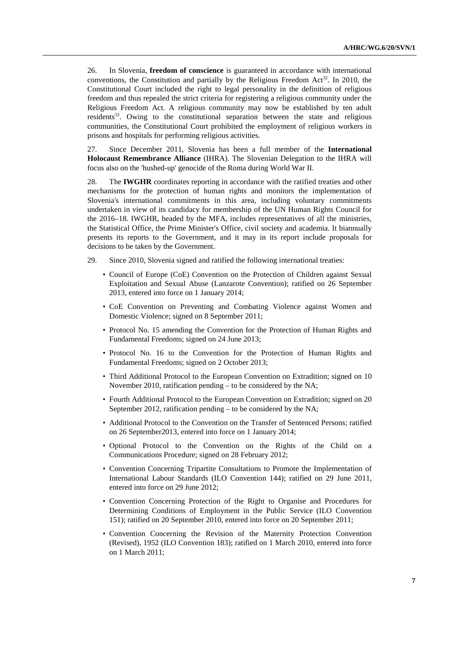26. In Slovenia, **freedom of conscience** is guaranteed in accordance with international conventions, the Constitution and partially by the Religious Freedom Act<sup>32</sup>. In 2010, the Constitutional Court included the right to legal personality in the definition of religious freedom and thus repealed the strict criteria for registering a religious community under the Religious Freedom Act. A religious community may now be established by ten adult residents $33$ . Owing to the constitutional separation between the state and religious communities, the Constitutional Court prohibited the employment of religious workers in prisons and hospitals for performing religious activities.

27. Since December 2011, Slovenia has been a full member of the **International Holocaust Remembrance Alliance** (IHRA). The Slovenian Delegation to the IHRA will focus also on the 'hushed-up' genocide of the Roma during World War II.

28. The **IWGHR** coordinates reporting in accordance with the ratified treaties and other mechanisms for the protection of human rights and monitors the implementation of Slovenia's international commitments in this area, including voluntary commitments undertaken in view of its candidacy for membership of the UN Human Rights Council for the 2016–18. IWGHR, headed by the MFA, includes representatives of all the ministries, the Statistical Office, the Prime Minister's Office, civil society and academia. It biannually presents its reports to the Government, and it may in its report include proposals for decisions to be taken by the Government.

- 29. Since 2010, Slovenia signed and ratified the following international treaties:
	- Council of Europe (CoE) Convention on the Protection of Children against Sexual Exploitation and Sexual Abuse (Lanzarote Convention); ratified on 26 September 2013, entered into force on 1 January 2014;
	- CoE Convention on Preventing and Combating Violence against Women and Domestic Violence; signed on 8 September 2011;
	- Protocol No. 15 amending the Convention for the Protection of Human Rights and Fundamental Freedoms; signed on 24 June 2013;
	- Protocol No. 16 to the Convention for the Protection of Human Rights and Fundamental Freedoms; signed on 2 October 2013;
	- Third Additional Protocol to the European Convention on Extradition; signed on 10 November 2010, ratification pending – to be considered by the NA;
	- Fourth Additional Protocol to the European Convention on Extradition; signed on 20 September 2012, ratification pending – to be considered by the NA;
	- Additional Protocol to the Convention on the Transfer of Sentenced Persons; ratified on 26 September2013, entered into force on 1 January 2014;
	- Optional Protocol to the Convention on the Rights of the Child on a Communications Procedure; signed on 28 February 2012;
	- Convention Concerning Tripartite Consultations to Promote the Implementation of International Labour Standards (ILO Convention 144); ratified on 29 June 2011, entered into force on 29 June 2012;
	- Convention Concerning Protection of the Right to Organise and Procedures for Determining Conditions of Employment in the Public Service (ILO Convention 151); ratified on 20 September 2010, entered into force on 20 September 2011;
	- Convention Concerning the Revision of the Maternity Protection Convention (Revised), 1952 (ILO Convention 183); ratified on 1 March 2010, entered into force on 1 March 2011;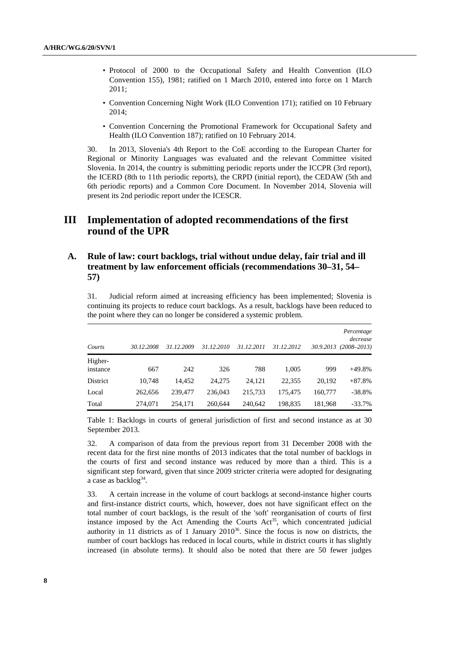- Protocol of 2000 to the Occupational Safety and Health Convention (ILO Convention 155), 1981; ratified on 1 March 2010, entered into force on 1 March 2011;
- Convention Concerning Night Work (ILO Convention 171); ratified on 10 February 2014;
- Convention Concerning the Promotional Framework for Occupational Safety and Health (ILO Convention 187); ratified on 10 February 2014.

30. In 2013, Slovenia's 4th Report to the CoE according to the European Charter for Regional or Minority Languages was evaluated and the relevant Committee visited Slovenia. In 2014, the country is submitting periodic reports under the ICCPR (3rd report), the ICERD (8th to 11th periodic reports), the CRPD (initial report), the CEDAW (5th and 6th periodic reports) and a Common Core Document. In November 2014, Slovenia will present its 2nd periodic report under the ICESCR.

# **III Implementation of adopted recommendations of the first round of the UPR**

# **A. Rule of law: court backlogs, trial without undue delay, fair trial and ill treatment by law enforcement officials (recommendations 30–31, 54– 57)**

31. Judicial reform aimed at increasing efficiency has been implemented; Slovenia is continuing its projects to reduce court backlogs. As a result, backlogs have been reduced to the point where they can no longer be considered a systemic problem.

| Courts              | 30.12.2008 | 31.12.2009 | 31.12.2010 | 31.12.2011 | 31.12.2012 | 30.9.2013 | Percentage<br>decrease<br>$(2008 - 2013)$ |
|---------------------|------------|------------|------------|------------|------------|-----------|-------------------------------------------|
| Higher-<br>instance | 667        | 242        | 326        | 788        | 1.005      | 999       | $+49.8%$                                  |
| District            | 10,748     | 14.452     | 24,275     | 24.121     | 22,355     | 20,192    | $+87.8%$                                  |
| Local               | 262,656    | 239,477    | 236,043    | 215,733    | 175,475    | 160,777   | $-38.8%$                                  |
| Total               | 274,071    | 254.171    | 260.644    | 240.642    | 198.835    | 181,968   | $-33.7\%$                                 |

Table 1: Backlogs in courts of general jurisdiction of first and second instance as at 30 September 2013.

32. A comparison of data from the previous report from 31 December 2008 with the recent data for the first nine months of 2013 indicates that the total number of backlogs in the courts of first and second instance was reduced by more than a third. This is a significant step forward, given that since 2009 stricter criteria were adopted for designating a case as backlog<sup>34</sup>.

33. A certain increase in the volume of court backlogs at second-instance higher courts and first-instance district courts, which, however, does not have significant effect on the total number of court backlogs, is the result of the 'soft' reorganisation of courts of first instance imposed by the Act Amending the Courts  $Act^{35}$ , which concentrated judicial authority in 11 districts as of 1 January  $2010^{36}$ . Since the focus is now on districts, the number of court backlogs has reduced in local courts, while in district courts it has slightly increased (in absolute terms). It should also be noted that there are 50 fewer judges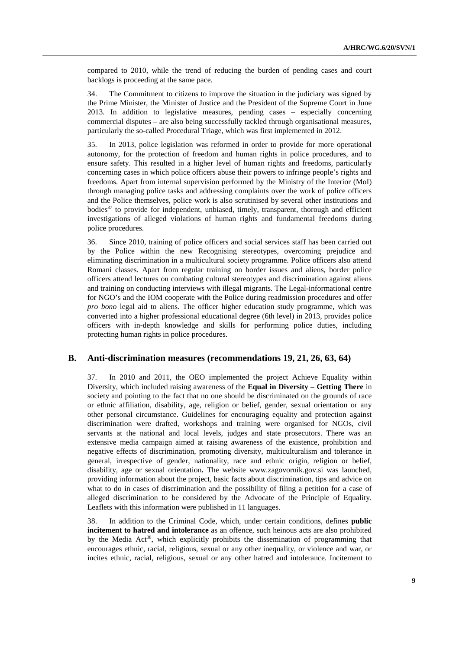compared to 2010, while the trend of reducing the burden of pending cases and court backlogs is proceeding at the same pace.

34. The Commitment to citizens to improve the situation in the judiciary was signed by the Prime Minister, the Minister of Justice and the President of the Supreme Court in June 2013. In addition to legislative measures, pending cases – especially concerning commercial disputes – are also being successfully tackled through organisational measures, particularly the so-called Procedural Triage, which was first implemented in 2012.

35. In 2013, police legislation was reformed in order to provide for more operational autonomy, for the protection of freedom and human rights in police procedures, and to ensure safety. This resulted in a higher level of human rights and freedoms, particularly concerning cases in which police officers abuse their powers to infringe people's rights and freedoms. Apart from internal supervision performed by the Ministry of the Interior (MoI) through managing police tasks and addressing complaints over the work of police officers and the Police themselves, police work is also scrutinised by several other institutions and bodies<sup>37</sup> to provide for independent, unbiased, timely, transparent, thorough and efficient investigations of alleged violations of human rights and fundamental freedoms during police procedures.

36. Since 2010, training of police officers and social services staff has been carried out by the Police within the new Recognising stereotypes, overcoming prejudice and eliminating discrimination in a multicultural society programme. Police officers also attend Romani classes. Apart from regular training on border issues and aliens, border police officers attend lectures on combating cultural stereotypes and discrimination against aliens and training on conducting interviews with illegal migrants. The Legal-informational centre for NGO's and the IOM cooperate with the Police during readmission procedures and offer *pro bono* legal aid to aliens. The officer higher education study programme, which was converted into a higher professional educational degree (6th level) in 2013, provides police officers with in-depth knowledge and skills for performing police duties, including protecting human rights in police procedures.

### **B. Anti-discrimination measures (recommendations 19, 21, 26, 63, 64)**

37. In 2010 and 2011, the OEO implemented the project Achieve Equality within Diversity, which included raising awareness of the **Equal in Diversity – Getting There** in society and pointing to the fact that no one should be discriminated on the grounds of race or ethnic affiliation, disability, age, religion or belief, gender, sexual orientation or any other personal circumstance. Guidelines for encouraging equality and protection against discrimination were drafted, workshops and training were organised for NGOs, civil servants at the national and local levels, judges and state prosecutors. There was an extensive media campaign aimed at raising awareness of the existence, prohibition and negative effects of discrimination, promoting diversity, multiculturalism and tolerance in general, irrespective of gender, nationality, race and ethnic origin, religion or belief, disability, age or sexual orientation**.** The website www.zagovornik.gov.si was launched, providing information about the project, basic facts about discrimination, tips and advice on what to do in cases of discrimination and the possibility of filing a petition for a case of alleged discrimination to be considered by the Advocate of the Principle of Equality. Leaflets with this information were published in 11 languages.

38. In addition to the Criminal Code, which, under certain conditions, defines **public incitement to hatred and intolerance** as an offence, such heinous acts are also prohibited by the Media  $Act^{38}$ , which explicitly prohibits the dissemination of programming that encourages ethnic, racial, religious, sexual or any other inequality, or violence and war, or incites ethnic, racial, religious, sexual or any other hatred and intolerance. Incitement to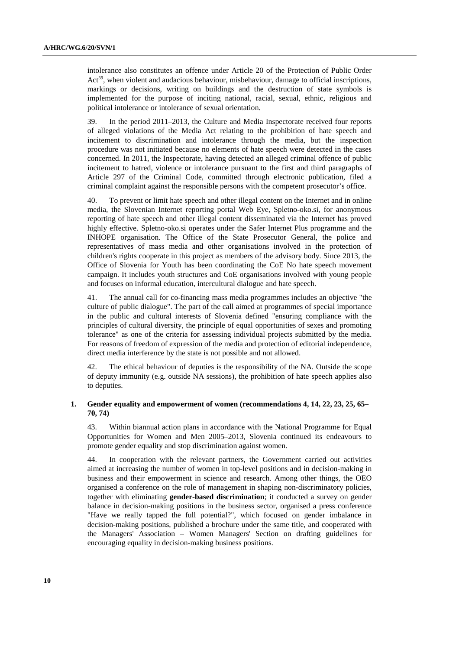intolerance also constitutes an offence under Article 20 of the Protection of Public Order  $Act<sup>39</sup>$ , when violent and audacious behaviour, misbehaviour, damage to official inscriptions, markings or decisions, writing on buildings and the destruction of state symbols is implemented for the purpose of inciting national, racial, sexual, ethnic, religious and political intolerance or intolerance of sexual orientation.

In the period  $2011-2013$ , the Culture and Media Inspectorate received four reports of alleged violations of the Media Act relating to the prohibition of hate speech and incitement to discrimination and intolerance through the media, but the inspection procedure was not initiated because no elements of hate speech were detected in the cases concerned. In 2011, the Inspectorate, having detected an alleged criminal offence of public incitement to hatred, violence or intolerance pursuant to the first and third paragraphs of Article 297 of the Criminal Code, committed through electronic publication, filed a criminal complaint against the responsible persons with the competent prosecutor's office.

40. To prevent or limit hate speech and other illegal content on the Internet and in online media, the Slovenian Internet reporting portal Web Eye, Spletno-oko.si, for anonymous reporting of hate speech and other illegal content disseminated via the Internet has proved highly effective. Spletno-oko.si operates under the Safer Internet Plus programme and the INHOPE organisation. The Office of the State Prosecutor General, the police and representatives of mass media and other organisations involved in the protection of children's rights cooperate in this project as members of the advisory body. Since 2013, the Office of Slovenia for Youth has been coordinating the CoE No hate speech movement campaign. It includes youth structures and CoE organisations involved with young people and focuses on informal education, intercultural dialogue and hate speech.

41. The annual call for co-financing mass media programmes includes an objective "the culture of public dialogue". The part of the call aimed at programmes of special importance in the public and cultural interests of Slovenia defined "ensuring compliance with the principles of cultural diversity, the principle of equal opportunities of sexes and promoting tolerance" as one of the criteria for assessing individual projects submitted by the media. For reasons of freedom of expression of the media and protection of editorial independence, direct media interference by the state is not possible and not allowed.

42. The ethical behaviour of deputies is the responsibility of the NA. Outside the scope of deputy immunity (e.g. outside NA sessions), the prohibition of hate speech applies also to deputies.

#### **1. Gender equality and empowerment of women (recommendations 4, 14, 22, 23, 25, 65– 70, 74)**

43. Within biannual action plans in accordance with the National Programme for Equal Opportunities for Women and Men 2005–2013, Slovenia continued its endeavours to promote gender equality and stop discrimination against women.

44. In cooperation with the relevant partners, the Government carried out activities aimed at increasing the number of women in top-level positions and in decision-making in business and their empowerment in science and research. Among other things, the OEO organised a conference on the role of management in shaping non-discriminatory policies, together with eliminating **gender-based discrimination**; it conducted a survey on gender balance in decision-making positions in the business sector, organised a press conference "Have we really tapped the full potential?", which focused on gender imbalance in decision-making positions, published a brochure under the same title, and cooperated with the Managers' Association – Women Managers' Section on drafting guidelines for encouraging equality in decision-making business positions.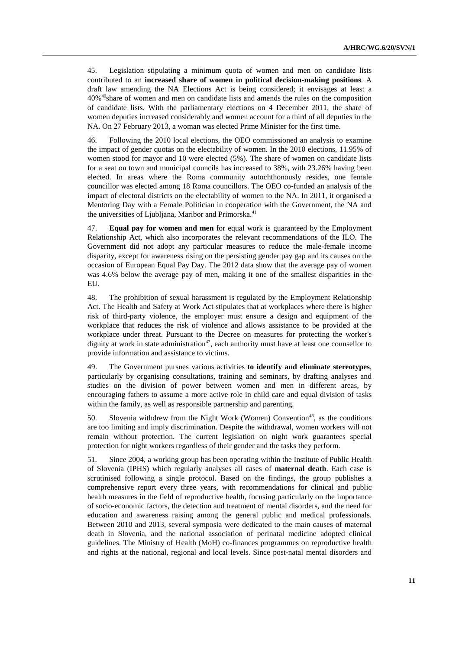45. Legislation stipulating a minimum quota of women and men on candidate lists contributed to an **increased share of women in political decision-making positions**. A draft law amending the NA Elections Act is being considered; it envisages at least a 40%40share of women and men on candidate lists and amends the rules on the composition of candidate lists. With the parliamentary elections on 4 December 2011, the share of women deputies increased considerably and women account for a third of all deputies in the NA. On 27 February 2013, a woman was elected Prime Minister for the first time.

46. Following the 2010 local elections, the OEO commissioned an analysis to examine the impact of gender quotas on the electability of women. In the 2010 elections, 11.95% of women stood for mayor and 10 were elected (5%). The share of women on candidate lists for a seat on town and municipal councils has increased to 38%, with 23.26% having been elected. In areas where the Roma community autochthonously resides, one female councillor was elected among 18 Roma councillors. The OEO co-funded an analysis of the impact of electoral districts on the electability of women to the NA. In 2011, it organised a Mentoring Day with a Female Politician in cooperation with the Government, the NA and the universities of Ljubljana, Maribor and Primorska.<sup>41</sup>

47. **Equal pay for women and men** for equal work is guaranteed by the Employment Relationship Act, which also incorporates the relevant recommendations of the ILO. The Government did not adopt any particular measures to reduce the male-female income disparity, except for awareness rising on the persisting gender pay gap and its causes on the occasion of European Equal Pay Day. The 2012 data show that the average pay of women was 4.6% below the average pay of men, making it one of the smallest disparities in the EU.

48. The prohibition of sexual harassment is regulated by the Employment Relationship Act. The Health and Safety at Work Act stipulates that at workplaces where there is higher risk of third-party violence, the employer must ensure a design and equipment of the workplace that reduces the risk of violence and allows assistance to be provided at the workplace under threat. Pursuant to the Decree on measures for protecting the worker's dignity at work in state administration<sup>42</sup>, each authority must have at least one counsellor to provide information and assistance to victims.

49. The Government pursues various activities **to identify and eliminate stereotypes**, particularly by organising consultations, training and seminars, by drafting analyses and studies on the division of power between women and men in different areas, by encouraging fathers to assume a more active role in child care and equal division of tasks within the family, as well as responsible partnership and parenting.

50. Slovenia withdrew from the Night Work (Women) Convention<sup>43</sup>, as the conditions are too limiting and imply discrimination. Despite the withdrawal, women workers will not remain without protection. The current legislation on night work guarantees special protection for night workers regardless of their gender and the tasks they perform.

51. Since 2004, a working group has been operating within the Institute of Public Health of Slovenia (IPHS) which regularly analyses all cases of **maternal death**. Each case is scrutinised following a single protocol. Based on the findings, the group publishes a comprehensive report every three years, with recommendations for clinical and public health measures in the field of reproductive health, focusing particularly on the importance of socio-economic factors, the detection and treatment of mental disorders, and the need for education and awareness raising among the general public and medical professionals. Between 2010 and 2013, several symposia were dedicated to the main causes of maternal death in Slovenia, and the national association of perinatal medicine adopted clinical guidelines. The Ministry of Health (MoH) co-finances programmes on reproductive health and rights at the national, regional and local levels. Since post-natal mental disorders and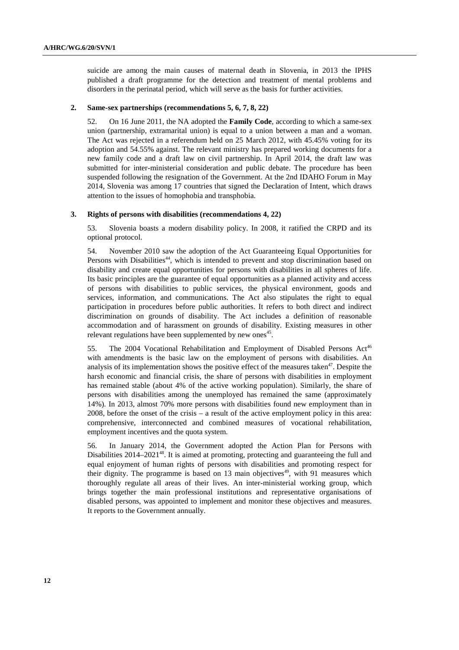suicide are among the main causes of maternal death in Slovenia, in 2013 the IPHS published a draft programme for the detection and treatment of mental problems and disorders in the perinatal period, which will serve as the basis for further activities.

#### **2. Same-sex partnerships (recommendations 5, 6, 7, 8, 22)**

52. On 16 June 2011, the NA adopted the **Family Code**, according to which a same-sex union (partnership, extramarital union) is equal to a union between a man and a woman. The Act was rejected in a referendum held on 25 March 2012, with 45.45% voting for its adoption and 54.55% against. The relevant ministry has prepared working documents for a new family code and a draft law on civil partnership. In April 2014, the draft law was submitted for inter-ministerial consideration and public debate. The procedure has been suspended following the resignation of the Government. At the 2nd IDAHO Forum in May 2014, Slovenia was among 17 countries that signed the Declaration of Intent, which draws attention to the issues of homophobia and transphobia.

#### **3. Rights of persons with disabilities (recommendations 4, 22)**

53. Slovenia boasts a modern disability policy. In 2008, it ratified the CRPD and its optional protocol.

54. November 2010 saw the adoption of the Act Guaranteeing Equal Opportunities for Persons with Disabilities<sup>44</sup>, which is intended to prevent and stop discrimination based on disability and create equal opportunities for persons with disabilities in all spheres of life. Its basic principles are the guarantee of equal opportunities as a planned activity and access of persons with disabilities to public services, the physical environment, goods and services, information, and communications. The Act also stipulates the right to equal participation in procedures before public authorities. It refers to both direct and indirect discrimination on grounds of disability. The Act includes a definition of reasonable accommodation and of harassment on grounds of disability. Existing measures in other relevant regulations have been supplemented by new ones<sup>45</sup>.

55. The 2004 Vocational Rehabilitation and Employment of Disabled Persons  $Act^{46}$ with amendments is the basic law on the employment of persons with disabilities. An analysis of its implementation shows the positive effect of the measures taken<sup>47</sup>. Despite the harsh economic and financial crisis, the share of persons with disabilities in employment has remained stable (about 4% of the active working population). Similarly, the share of persons with disabilities among the unemployed has remained the same (approximately 14%). In 2013, almost 70% more persons with disabilities found new employment than in 2008, before the onset of the crisis – a result of the active employment policy in this area: comprehensive, interconnected and combined measures of vocational rehabilitation, employment incentives and the quota system.

56. In January 2014, the Government adopted the Action Plan for Persons with Disabilities 2014–2021<sup>48</sup>. It is aimed at promoting, protecting and guaranteeing the full and equal enjoyment of human rights of persons with disabilities and promoting respect for their dignity. The programme is based on  $13$  main objectives<sup>49</sup>, with  $91$  measures which thoroughly regulate all areas of their lives. An inter-ministerial working group, which brings together the main professional institutions and representative organisations of disabled persons, was appointed to implement and monitor these objectives and measures. It reports to the Government annually.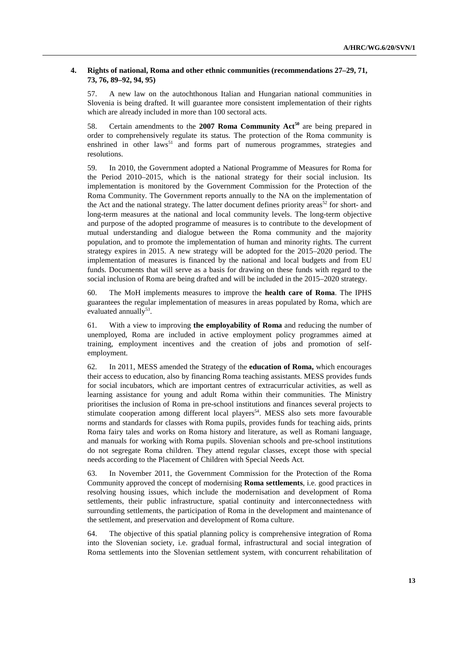#### **4. Rights of national, Roma and other ethnic communities (recommendations 27–29, 71, 73, 76, 89–92, 94, 95)**

57. A new law on the autochthonous Italian and Hungarian national communities in Slovenia is being drafted. It will guarantee more consistent implementation of their rights which are already included in more than 100 sectoral acts.

58. Certain amendments to the **2007 Roma Community Act50** are being prepared in order to comprehensively regulate its status. The protection of the Roma community is enshrined in other laws<sup>51</sup> and forms part of numerous programmes, strategies and resolutions.

59. In 2010, the Government adopted a National Programme of Measures for Roma for the Period 2010–2015, which is the national strategy for their social inclusion. Its implementation is monitored by the Government Commission for the Protection of the Roma Community. The Government reports annually to the NA on the implementation of the Act and the national strategy. The latter document defines priority areas<sup>52</sup> for short- and long-term measures at the national and local community levels. The long-term objective and purpose of the adopted programme of measures is to contribute to the development of mutual understanding and dialogue between the Roma community and the majority population, and to promote the implementation of human and minority rights. The current strategy expires in 2015. A new strategy will be adopted for the 2015–2020 period. The implementation of measures is financed by the national and local budgets and from EU funds. Documents that will serve as a basis for drawing on these funds with regard to the social inclusion of Roma are being drafted and will be included in the 2015–2020 strategy.

60. The MoH implements measures to improve the **health care of Roma**. The IPHS guarantees the regular implementation of measures in areas populated by Roma, which are evaluated annually $53$ .

61. With a view to improving **the employability of Roma** and reducing the number of unemployed, Roma are included in active employment policy programmes aimed at training, employment incentives and the creation of jobs and promotion of selfemployment.

62. In 2011, MESS amended the Strategy of the **education of Roma,** which encourages their access to education, also by financing Roma teaching assistants. MESS provides funds for social incubators, which are important centres of extracurricular activities, as well as learning assistance for young and adult Roma within their communities. The Ministry prioritises the inclusion of Roma in pre-school institutions and finances several projects to stimulate cooperation among different local players<sup>54</sup>. MESS also sets more favourable norms and standards for classes with Roma pupils, provides funds for teaching aids, prints Roma fairy tales and works on Roma history and literature, as well as Romani language, and manuals for working with Roma pupils. Slovenian schools and pre-school institutions do not segregate Roma children. They attend regular classes, except those with special needs according to the Placement of Children with Special Needs Act.

63. In November 2011, the Government Commission for the Protection of the Roma Community approved the concept of modernising **Roma settlements**, i.e. good practices in resolving housing issues, which include the modernisation and development of Roma settlements, their public infrastructure, spatial continuity and interconnectedness with surrounding settlements, the participation of Roma in the development and maintenance of the settlement, and preservation and development of Roma culture.

64. The objective of this spatial planning policy is comprehensive integration of Roma into the Slovenian society, i.e. gradual formal, infrastructural and social integration of Roma settlements into the Slovenian settlement system, with concurrent rehabilitation of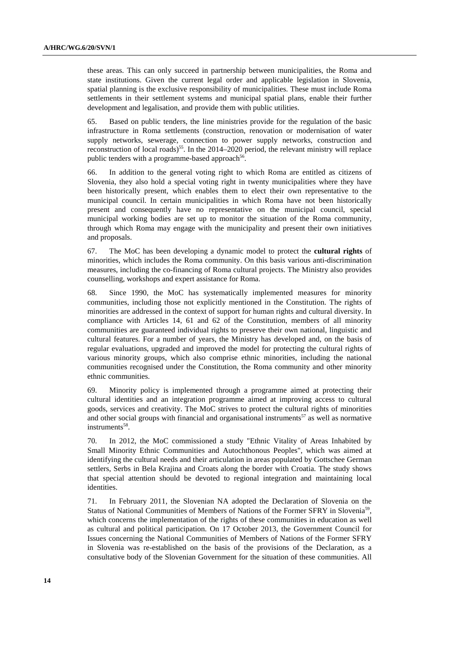these areas. This can only succeed in partnership between municipalities, the Roma and state institutions. Given the current legal order and applicable legislation in Slovenia, spatial planning is the exclusive responsibility of municipalities. These must include Roma settlements in their settlement systems and municipal spatial plans, enable their further development and legalisation, and provide them with public utilities.

65. Based on public tenders, the line ministries provide for the regulation of the basic infrastructure in Roma settlements (construction, renovation or modernisation of water supply networks, sewerage, connection to power supply networks, construction and reconstruction of local roads)<sup>55</sup>. In the 2014–2020 period, the relevant ministry will replace public tenders with a programme-based approach<sup>56</sup>.

66. In addition to the general voting right to which Roma are entitled as citizens of Slovenia, they also hold a special voting right in twenty municipalities where they have been historically present, which enables them to elect their own representative to the municipal council. In certain municipalities in which Roma have not been historically present and consequently have no representative on the municipal council, special municipal working bodies are set up to monitor the situation of the Roma community, through which Roma may engage with the municipality and present their own initiatives and proposals.

67. The MoC has been developing a dynamic model to protect the **cultural rights** of minorities, which includes the Roma community. On this basis various anti-discrimination measures, including the co-financing of Roma cultural projects. The Ministry also provides counselling, workshops and expert assistance for Roma.

68. Since 1990, the MoC has systematically implemented measures for minority communities, including those not explicitly mentioned in the Constitution. The rights of minorities are addressed in the context of support for human rights and cultural diversity. In compliance with Articles 14, 61 and 62 of the Constitution, members of all minority communities are guaranteed individual rights to preserve their own national, linguistic and cultural features. For a number of years, the Ministry has developed and, on the basis of regular evaluations, upgraded and improved the model for protecting the cultural rights of various minority groups, which also comprise ethnic minorities, including the national communities recognised under the Constitution, the Roma community and other minority ethnic communities.

69. Minority policy is implemented through a programme aimed at protecting their cultural identities and an integration programme aimed at improving access to cultural goods, services and creativity. The MoC strives to protect the cultural rights of minorities and other social groups with financial and organisational instruments<sup>57</sup> as well as normative instruments<sup>58</sup>.

70. In 2012, the MoC commissioned a study "Ethnic Vitality of Areas Inhabited by Small Minority Ethnic Communities and Autochthonous Peoples", which was aimed at identifying the cultural needs and their articulation in areas populated by Gottschee German settlers, Serbs in Bela Krajina and Croats along the border with Croatia. The study shows that special attention should be devoted to regional integration and maintaining local identities.

71. In February 2011, the Slovenian NA adopted the Declaration of Slovenia on the Status of National Communities of Members of Nations of the Former SFRY in Slovenia<sup>59</sup>, which concerns the implementation of the rights of these communities in education as well as cultural and political participation. On 17 October 2013, the Government Council for Issues concerning the National Communities of Members of Nations of the Former SFRY in Slovenia was re-established on the basis of the provisions of the Declaration, as a consultative body of the Slovenian Government for the situation of these communities. All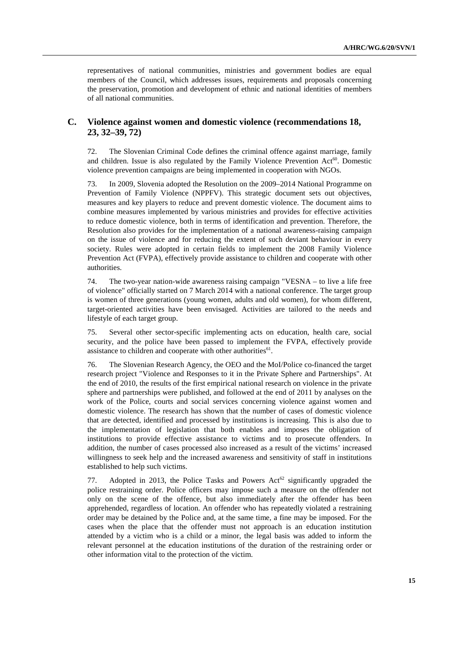representatives of national communities, ministries and government bodies are equal members of the Council, which addresses issues, requirements and proposals concerning the preservation, promotion and development of ethnic and national identities of members of all national communities.

## **C. Violence against women and domestic violence (recommendations 18, 23, 32–39, 72)**

72. The Slovenian Criminal Code defines the criminal offence against marriage, family and children. Issue is also regulated by the Family Violence Prevention  $Act^{60}$ . Domestic violence prevention campaigns are being implemented in cooperation with NGOs.

73. In 2009, Slovenia adopted the Resolution on the 2009–2014 National Programme on Prevention of Family Violence (NPPFV). This strategic document sets out objectives, measures and key players to reduce and prevent domestic violence. The document aims to combine measures implemented by various ministries and provides for effective activities to reduce domestic violence, both in terms of identification and prevention. Therefore, the Resolution also provides for the implementation of a national awareness-raising campaign on the issue of violence and for reducing the extent of such deviant behaviour in every society. Rules were adopted in certain fields to implement the 2008 Family Violence Prevention Act (FVPA), effectively provide assistance to children and cooperate with other authorities.

74. The two-year nation-wide awareness raising campaign "VESNA – to live a life free of violence" officially started on 7 March 2014 with a national conference. The target group is women of three generations (young women, adults and old women), for whom different, target-oriented activities have been envisaged. Activities are tailored to the needs and lifestyle of each target group.

75. Several other sector-specific implementing acts on education, health care, social security, and the police have been passed to implement the FVPA, effectively provide assistance to children and cooperate with other authorities $61$ .

76. The Slovenian Research Agency, the OEO and the MoI/Police co-financed the target research project "Violence and Responses to it in the Private Sphere and Partnerships". At the end of 2010, the results of the first empirical national research on violence in the private sphere and partnerships were published, and followed at the end of 2011 by analyses on the work of the Police, courts and social services concerning violence against women and domestic violence. The research has shown that the number of cases of domestic violence that are detected, identified and processed by institutions is increasing. This is also due to the implementation of legislation that both enables and imposes the obligation of institutions to provide effective assistance to victims and to prosecute offenders. In addition, the number of cases processed also increased as a result of the victims' increased willingness to seek help and the increased awareness and sensitivity of staff in institutions established to help such victims.

77. Adopted in 2013, the Police Tasks and Powers  $Act^{62}$  significantly upgraded the police restraining order. Police officers may impose such a measure on the offender not only on the scene of the offence, but also immediately after the offender has been apprehended, regardless of location. An offender who has repeatedly violated a restraining order may be detained by the Police and, at the same time, a fine may be imposed. For the cases when the place that the offender must not approach is an education institution attended by a victim who is a child or a minor, the legal basis was added to inform the relevant personnel at the education institutions of the duration of the restraining order or other information vital to the protection of the victim.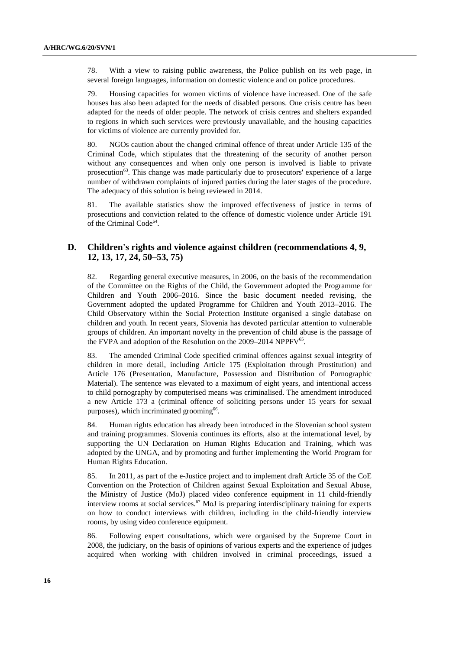78. With a view to raising public awareness, the Police publish on its web page, in several foreign languages, information on domestic violence and on police procedures.

79. Housing capacities for women victims of violence have increased. One of the safe houses has also been adapted for the needs of disabled persons. One crisis centre has been adapted for the needs of older people. The network of crisis centres and shelters expanded to regions in which such services were previously unavailable, and the housing capacities for victims of violence are currently provided for.

80. NGOs caution about the changed criminal offence of threat under Article 135 of the Criminal Code, which stipulates that the threatening of the security of another person without any consequences and when only one person is involved is liable to private prosecution63. This change was made particularly due to prosecutors' experience of a large number of withdrawn complaints of injured parties during the later stages of the procedure. The adequacy of this solution is being reviewed in 2014.

81. The available statistics show the improved effectiveness of justice in terms of prosecutions and conviction related to the offence of domestic violence under Article 191 of the Criminal Code<sup>64</sup>.

## **D. Children's rights and violence against children (recommendations 4, 9, 12, 13, 17, 24, 50–53, 75)**

82. Regarding general executive measures, in 2006, on the basis of the recommendation of the Committee on the Rights of the Child, the Government adopted the Programme for Children and Youth 2006–2016. Since the basic document needed revising, the Government adopted the updated Programme for Children and Youth 2013–2016. The Child Observatory within the Social Protection Institute organised a single database on children and youth. In recent years, Slovenia has devoted particular attention to vulnerable groups of children. An important novelty in the prevention of child abuse is the passage of the FVPA and adoption of the Resolution on the 2009–2014 NPPFV<sup>65</sup>.

83. The amended Criminal Code specified criminal offences against sexual integrity of children in more detail, including Article 175 (Exploitation through Prostitution) and Article 176 (Presentation, Manufacture, Possession and Distribution of Pornographic Material). The sentence was elevated to a maximum of eight years, and intentional access to child pornography by computerised means was criminalised. The amendment introduced a new Article 173 a (criminal offence of soliciting persons under 15 years for sexual purposes), which incriminated grooming<sup>66</sup>.

84. Human rights education has already been introduced in the Slovenian school system and training programmes. Slovenia continues its efforts, also at the international level, by supporting the UN Declaration on Human Rights Education and Training, which was adopted by the UNGA, and by promoting and further implementing the World Program for Human Rights Education.

85. In 2011, as part of the e-Justice project and to implement draft Article 35 of the CoE Convention on the Protection of Children against Sexual Exploitation and Sexual Abuse, the Ministry of Justice (MoJ) placed video conference equipment in 11 child-friendly interview rooms at social services.67 MoJ is preparing interdisciplinary training for experts on how to conduct interviews with children, including in the child-friendly interview rooms, by using video conference equipment.

86. Following expert consultations, which were organised by the Supreme Court in 2008, the judiciary, on the basis of opinions of various experts and the experience of judges acquired when working with children involved in criminal proceedings, issued a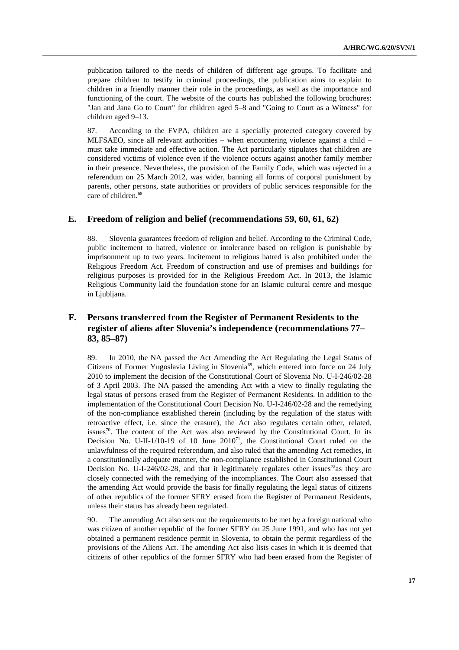publication tailored to the needs of children of different age groups. To facilitate and prepare children to testify in criminal proceedings, the publication aims to explain to children in a friendly manner their role in the proceedings, as well as the importance and functioning of the court. The website of the courts has published the following brochures: "Jan and Jana Go to Court" for children aged 5–8 and "Going to Court as a Witness" for children aged 9–13.

87. According to the FVPA, children are a specially protected category covered by MLFSAEO, since all relevant authorities – when encountering violence against a child – must take immediate and effective action. The Act particularly stipulates that children are considered victims of violence even if the violence occurs against another family member in their presence. Nevertheless, the provision of the Family Code, which was rejected in a referendum on 25 March 2012, was wider, banning all forms of corporal punishment by parents, other persons, state authorities or providers of public services responsible for the care of children.<sup>68</sup>

### **E. Freedom of religion and belief (recommendations 59, 60, 61, 62)**

88. Slovenia guarantees freedom of religion and belief. According to the Criminal Code, public incitement to hatred, violence or intolerance based on religion is punishable by imprisonment up to two years. Incitement to religious hatred is also prohibited under the Religious Freedom Act. Freedom of construction and use of premises and buildings for religious purposes is provided for in the Religious Freedom Act. In 2013, the Islamic Religious Community laid the foundation stone for an Islamic cultural centre and mosque in Ljubljana.

# **F. Persons transferred from the Register of Permanent Residents to the register of aliens after Slovenia's independence (recommendations 77– 83, 85–87)**

89. In 2010, the NA passed the Act Amending the Act Regulating the Legal Status of Citizens of Former Yugoslavia Living in Slovenia<sup>69</sup>, which entered into force on 24 July 2010 to implement the decision of the Constitutional Court of Slovenia No. U-I-246/02-28 of 3 April 2003. The NA passed the amending Act with a view to finally regulating the legal status of persons erased from the Register of Permanent Residents. In addition to the implementation of the Constitutional Court Decision No. U-I-246/02-28 and the remedying of the non-compliance established therein (including by the regulation of the status with retroactive effect, i.e. since the erasure), the Act also regulates certain other, related, issues<sup>70</sup>. The content of the Act was also reviewed by the Constitutional Court. In its Decision No. U-II-1/10-19 of 10 June  $2010<sup>71</sup>$ , the Constitutional Court ruled on the unlawfulness of the required referendum, and also ruled that the amending Act remedies, in a constitutionally adequate manner, the non-compliance established in Constitutional Court Decision No. U-I-246/02-28, and that it legitimately regulates other issues<sup>72</sup>as they are closely connected with the remedying of the incompliances. The Court also assessed that the amending Act would provide the basis for finally regulating the legal status of citizens of other republics of the former SFRY erased from the Register of Permanent Residents, unless their status has already been regulated.

90. The amending Act also sets out the requirements to be met by a foreign national who was citizen of another republic of the former SFRY on 25 June 1991, and who has not yet obtained a permanent residence permit in Slovenia, to obtain the permit regardless of the provisions of the Aliens Act. The amending Act also lists cases in which it is deemed that citizens of other republics of the former SFRY who had been erased from the Register of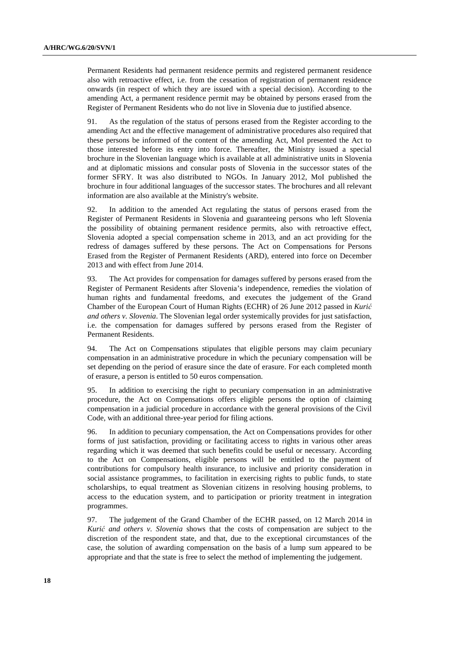Permanent Residents had permanent residence permits and registered permanent residence also with retroactive effect, i.e. from the cessation of registration of permanent residence onwards (in respect of which they are issued with a special decision). According to the amending Act, a permanent residence permit may be obtained by persons erased from the Register of Permanent Residents who do not live in Slovenia due to justified absence.

91. As the regulation of the status of persons erased from the Register according to the amending Act and the effective management of administrative procedures also required that these persons be informed of the content of the amending Act, MoI presented the Act to those interested before its entry into force. Thereafter, the Ministry issued a special brochure in the Slovenian language which is available at all administrative units in Slovenia and at diplomatic missions and consular posts of Slovenia in the successor states of the former SFRY. It was also distributed to NGOs. In January 2012, MoI published the brochure in four additional languages of the successor states. The brochures and all relevant information are also available at the Ministry's website.

92. In addition to the amended Act regulating the status of persons erased from the Register of Permanent Residents in Slovenia and guaranteeing persons who left Slovenia the possibility of obtaining permanent residence permits, also with retroactive effect, Slovenia adopted a special compensation scheme in 2013, and an act providing for the redress of damages suffered by these persons. The Act on Compensations for Persons Erased from the Register of Permanent Residents (ARD), entered into force on December 2013 and with effect from June 2014.

93. The Act provides for compensation for damages suffered by persons erased from the Register of Permanent Residents after Slovenia's independence, remedies the violation of human rights and fundamental freedoms, and executes the judgement of the Grand Chamber of the European Court of Human Rights (ECHR) of 26 June 2012 passed in *Kurić and others v. Slovenia*. The Slovenian legal order systemically provides for just satisfaction, i.e. the compensation for damages suffered by persons erased from the Register of Permanent Residents.

94. The Act on Compensations stipulates that eligible persons may claim pecuniary compensation in an administrative procedure in which the pecuniary compensation will be set depending on the period of erasure since the date of erasure. For each completed month of erasure, a person is entitled to 50 euros compensation.

95. In addition to exercising the right to pecuniary compensation in an administrative procedure, the Act on Compensations offers eligible persons the option of claiming compensation in a judicial procedure in accordance with the general provisions of the Civil Code, with an additional three-year period for filing actions.

96. In addition to pecuniary compensation, the Act on Compensations provides for other forms of just satisfaction, providing or facilitating access to rights in various other areas regarding which it was deemed that such benefits could be useful or necessary. According to the Act on Compensations, eligible persons will be entitled to the payment of contributions for compulsory health insurance, to inclusive and priority consideration in social assistance programmes, to facilitation in exercising rights to public funds, to state scholarships, to equal treatment as Slovenian citizens in resolving housing problems, to access to the education system, and to participation or priority treatment in integration programmes.

97. The judgement of the Grand Chamber of the ECHR passed, on 12 March 2014 in *Kurić and others v. Slovenia* shows that the costs of compensation are subject to the discretion of the respondent state, and that, due to the exceptional circumstances of the case, the solution of awarding compensation on the basis of a lump sum appeared to be appropriate and that the state is free to select the method of implementing the judgement.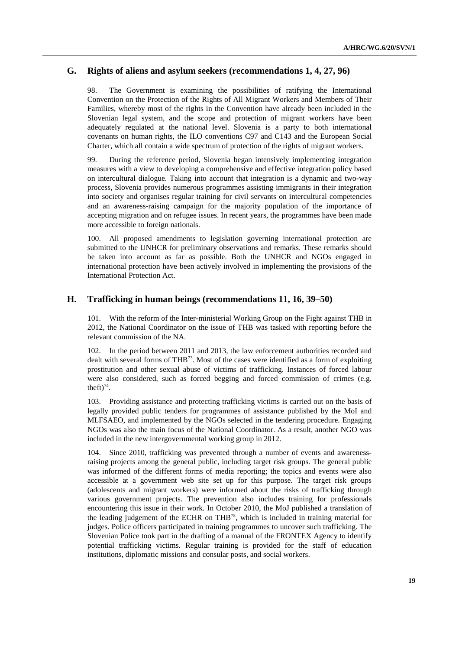## **G. Rights of aliens and asylum seekers (recommendations 1, 4, 27, 96)**

98. The Government is examining the possibilities of ratifying the International Convention on the Protection of the Rights of All Migrant Workers and Members of Their Families, whereby most of the rights in the Convention have already been included in the Slovenian legal system, and the scope and protection of migrant workers have been adequately regulated at the national level. Slovenia is a party to both international covenants on human rights, the ILO conventions C97 and C143 and the European Social Charter, which all contain a wide spectrum of protection of the rights of migrant workers.

99. During the reference period, Slovenia began intensively implementing integration measures with a view to developing a comprehensive and effective integration policy based on intercultural dialogue. Taking into account that integration is a dynamic and two-way process, Slovenia provides numerous programmes assisting immigrants in their integration into society and organises regular training for civil servants on intercultural competencies and an awareness-raising campaign for the majority population of the importance of accepting migration and on refugee issues. In recent years, the programmes have been made more accessible to foreign nationals.

100. All proposed amendments to legislation governing international protection are submitted to the UNHCR for preliminary observations and remarks. These remarks should be taken into account as far as possible. Both the UNHCR and NGOs engaged in international protection have been actively involved in implementing the provisions of the International Protection Act.

#### **H. Trafficking in human beings (recommendations 11, 16, 39–50)**

101. With the reform of the Inter-ministerial Working Group on the Fight against THB in 2012, the National Coordinator on the issue of THB was tasked with reporting before the relevant commission of the NA.

102. In the period between 2011 and 2013, the law enforcement authorities recorded and dealt with several forms of THB<sup>73</sup>. Most of the cases were identified as a form of exploiting prostitution and other sexual abuse of victims of trafficking. Instances of forced labour were also considered, such as forced begging and forced commission of crimes (e.g. theft) $74$ .

103. Providing assistance and protecting trafficking victims is carried out on the basis of legally provided public tenders for programmes of assistance published by the MoI and MLFSAEO, and implemented by the NGOs selected in the tendering procedure. Engaging NGOs was also the main focus of the National Coordinator. As a result, another NGO was included in the new intergovernmental working group in 2012.

104. Since 2010, trafficking was prevented through a number of events and awarenessraising projects among the general public, including target risk groups. The general public was informed of the different forms of media reporting; the topics and events were also accessible at a government web site set up for this purpose. The target risk groups (adolescents and migrant workers) were informed about the risks of trafficking through various government projects. The prevention also includes training for professionals encountering this issue in their work. In October 2010, the MoJ published a translation of the leading judgement of the ECHR on  $THB^{75}$ , which is included in training material for judges. Police officers participated in training programmes to uncover such trafficking. The Slovenian Police took part in the drafting of a manual of the FRONTEX Agency to identify potential trafficking victims. Regular training is provided for the staff of education institutions, diplomatic missions and consular posts, and social workers.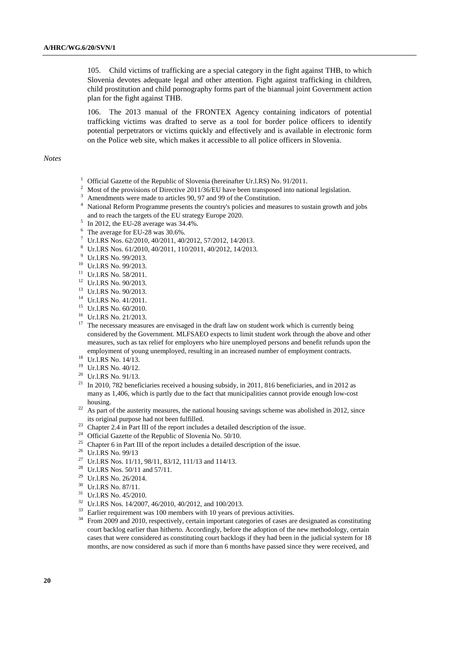105. Child victims of trafficking are a special category in the fight against THB, to which Slovenia devotes adequate legal and other attention. Fight against trafficking in children, child prostitution and child pornography forms part of the biannual joint Government action plan for the fight against THB.

106. The 2013 manual of the FRONTEX Agency containing indicators of potential trafficking victims was drafted to serve as a tool for border police officers to identify potential perpetrators or victims quickly and effectively and is available in electronic form on the Police web site, which makes it accessible to all police officers in Slovenia.

*Notes* 

- <sup>1</sup> Official Gazette of the Republic of Slovenia (hereinafter Ur.l.RS) No. 91/2011.
- $2$  Most of the provisions of Directive 2011/36/EU have been transposed into national legislation.
- <sup>3</sup> Amendments were made to articles 90, 97 and 99 of the Constitution.
- <sup>4</sup> National Reform Programme presents the country's policies and measures to sustain growth and jobs and to reach the targets of the EU strategy Europe 2020. 5 In 2012, the EU-28 average was 34.4%.
- 
- <sup>6</sup> The average for EU-28 was 30.6%.
- 7 Ur.l.RS Nos. 62/2010, 40/2011, 40/2012, 57/2012, 14/2013.
- 8 Ur.l.RS Nos. 61/2010, 40/2011, 110/2011, 40/2012, 14/2013.
- <sup>9</sup> Ur.l.RS No. 99/2013.
- 10 Ur.l.RS No. 99/2013.
- 11 Ur.l.RS No. 58/2011.
- 12 Ur.l.RS No. 90/2013.
- 13 Ur.l.RS No. 90/2013.
- 14 Ur.l.RS No. 41/2011.
- 15 Ur.l.RS No. 60/2010.
- <sup>16</sup> Ur.l.RS No. 21/2013.
- <sup>17</sup> The necessary measures are envisaged in the draft law on student work which is currently being considered by the Government. MLFSAEO expects to limit student work through the above and other measures, such as tax relief for employers who hire unemployed persons and benefit refunds upon the employment of young unemployed, resulting in an increased number of employment contracts. 18 Ur.l.RS No. 14/13.
- 
- 19 Ur.l.RS No. 40/12.
- 20 Ur.l.RS No. 91/13.
- <sup>21</sup> In 2010, 782 beneficiaries received a housing subsidy, in 2011, 816 beneficiaries, and in 2012 as many as 1,406, which is partly due to the fact that municipalities cannot provide enough low-cost
- housing. 22 As part of the austerity measures, the national housing savings scheme was abolished in 2012, since its original purpose had not been fulfilled.
- <sup>23</sup> Chapter 2.4 in Part III of the report includes a detailed description of the issue.
- <sup>24</sup> Official Gazette of the Republic of Slovenia No. 50/10.
- <sup>25</sup> Chapter 6 in Part III of the report includes a detailed description of the issue.<br><sup>26</sup> Ur.l.RS No. 99/13
- 
- <sup>27</sup> Ur.l.RS Nos. 11/11, 98/11, 83/12, 111/13 and 114/13.
- <sup>28</sup> Ur.l.RS Nos. 50/11 and 57/11.<br><sup>29</sup> Ur.l.BS No. 26/2014
- Ur.l.RS No. 26/2014.
- 30 Ur.l.RS No. 87/11.
- $31 \text{ Ur.l.RS No. } 45/2010.$ <br> $32 \text{ Ur.l.BS Nos. } 14/2007$
- Ur.l.RS Nos. 14/2007, 46/2010, 40/2012, and 100/2013.
- $33$  Earlier requirement was 100 members with 10 years of previous activities.<br> $34$  Erom 2000 and 2010, respectively, certain important categories of cases and
- 34 From 2009 and 2010, respectively, certain important categories of cases are designated as constituting court backlog earlier than hitherto. Accordingly, before the adoption of the new methodology, certain cases that were considered as constituting court backlogs if they had been in the judicial system for 18 months, are now considered as such if more than 6 months have passed since they were received, and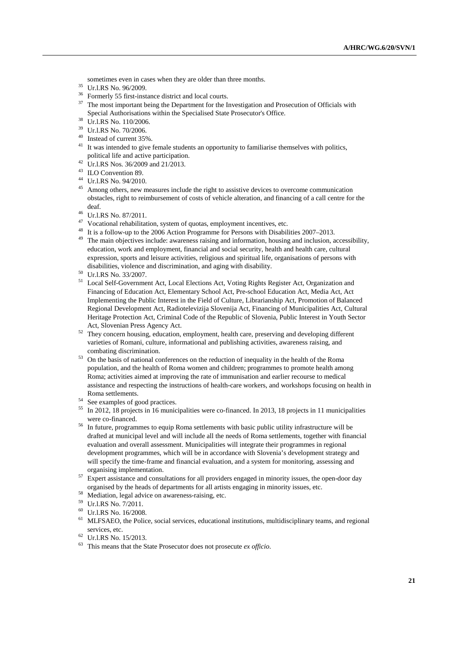sometimes even in cases when they are older than three months.<br><sup>35</sup> Ur.l.RS No. 96/2009.<br><sup>36</sup> Expressed 55 first instance district and least courts.

- 
- $36\overline{)}$  Formerly 55 first-instance district and local courts.<br> $37\overline{)}$  The meet important being the Department for the L
- 37 The most important being the Department for the Investigation and Prosecution of Officials with Special Authorisations within the Specialised State Prosecutor's Office.<br>Ur.l.RS No. 110/2006.
- 
- 39 Ur.l.RS No. 70/2006.
- 40 Instead of current 35%.
- It was intended to give female students an opportunity to familiarise themselves with politics, political life and active participation. 42 Ur.l.RS Nos. 36/2009 and 21/2013.
- 
- 43 ILO Convention 89.
- 44 Ur.l.RS No. 94/2010.
- <sup>45</sup> Among others, new measures include the right to assistive devices to overcome communication obstacles, right to reimbursement of costs of vehicle alteration, and financing of a call centre for the
- deaf.<br><sup>46</sup> Ur.l.RS No. 87/2011.
- 47 Vocational rehabilitation, system of quotas, employment incentives, etc.
- 48 It is a follow-up to the 2006 Action Programme for Persons with Disabilities 2007–2013.
- <sup>49</sup> The main objectives include: awareness raising and information, housing and inclusion, accessibility, education, work and employment, financial and social security, health and health care, cultural expression, sports and leisure activities, religious and spiritual life, organisations of persons with disabilities, violence and discrimination, and aging with disability. 50 Ur.l.RS No. 33/2007.
- 
- 51 Local Self-Government Act, Local Elections Act, Voting Rights Register Act, Organization and Financing of Education Act, Elementary School Act, Pre-school Education Act, Media Act, Act Implementing the Public Interest in the Field of Culture, Librarianship Act, Promotion of Balanced Regional Development Act, Radiotelevizija Slovenija Act, Financing of Municipalities Act, Cultural Heritage Protection Act, Criminal Code of the Republic of Slovenia, Public Interest in Youth Sector
- Act, Slovenian Press Agency Act.<br><sup>52</sup> They concern housing, education, employment, health care, preserving and developing different varieties of Romani, culture, informational and publishing activities, awareness raising, and
- combating discrimination.<br><sup>53</sup> On the basis of national conferences on the reduction of inequality in the health of the Roma population, and the health of Roma women and children; programmes to promote health among Roma; activities aimed at improving the rate of immunisation and earlier recourse to medical assistance and respecting the instructions of health-care workers, and workshops focusing on health in Roma settlements.<br><sup>54</sup> See examples of good practices.
- 
- 55 In 2012, 18 projects in 16 municipalities were co-financed. In 2013, 18 projects in 11 municipalities were co-financed.<br><sup>56</sup> In future, programmes to equip Roma settlements with basic public utility infrastructure will be
- drafted at municipal level and will include all the needs of Roma settlements, together with financial evaluation and overall assessment. Municipalities will integrate their programmes in regional development programmes, which will be in accordance with Slovenia's development strategy and will specify the time-frame and financial evaluation, and a system for monitoring, assessing and organising implementation.<br><sup>57</sup> Expert assistance and consultations for all providers engaged in minority issues, the open-door day
- organised by the heads of departments for all artists engaging in minority issues, etc. Mediation, legal advice on awareness-raising, etc.
- 
- 59 Ur.l.RS No. 7/2011.
- 60 Ur.l.RS No. 16/2008.
- $<sup>61</sup>$  MLFSAEO, the Police, social services, educational institutions, multidisciplinary teams, and regional</sup> services, etc.<br><sup>62</sup> Ur.l.RS No. 15/2013.
- 
- 63 This means that the State Prosecutor does not prosecute *ex officio.*